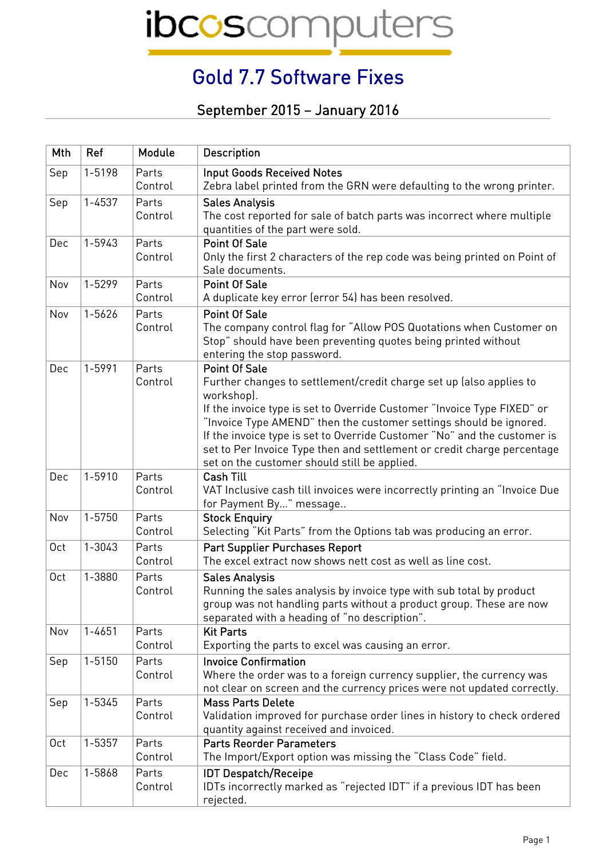## Gold 7.7 Software Fixes

September 2015 – January 2016

| Mth | Ref        | Module           | <b>Description</b>                                                                                                                                                                                                                                                                                                                                                                                                                                                |
|-----|------------|------------------|-------------------------------------------------------------------------------------------------------------------------------------------------------------------------------------------------------------------------------------------------------------------------------------------------------------------------------------------------------------------------------------------------------------------------------------------------------------------|
| Sep | 1-5198     | Parts<br>Control | <b>Input Goods Received Notes</b><br>Zebra label printed from the GRN were defaulting to the wrong printer.                                                                                                                                                                                                                                                                                                                                                       |
| Sep | $1 - 4537$ | Parts<br>Control | <b>Sales Analysis</b><br>The cost reported for sale of batch parts was incorrect where multiple<br>quantities of the part were sold.                                                                                                                                                                                                                                                                                                                              |
| Dec | 1-5943     | Parts<br>Control | <b>Point Of Sale</b><br>Only the first 2 characters of the rep code was being printed on Point of<br>Sale documents.                                                                                                                                                                                                                                                                                                                                              |
| Nov | 1-5299     | Parts<br>Control | <b>Point Of Sale</b><br>A duplicate key error (error 54) has been resolved.                                                                                                                                                                                                                                                                                                                                                                                       |
| Nov | 1-5626     | Parts<br>Control | <b>Point Of Sale</b><br>The company control flag for "Allow POS Quotations when Customer on<br>Stop" should have been preventing quotes being printed without<br>entering the stop password.                                                                                                                                                                                                                                                                      |
| Dec | 1-5991     | Parts<br>Control | <b>Point Of Sale</b><br>Further changes to settlement/credit charge set up (also applies to<br>workshop).<br>If the invoice type is set to Override Customer "Invoice Type FIXED" or<br>"Invoice Type AMEND" then the customer settings should be ignored.<br>If the invoice type is set to Override Customer "No" and the customer is<br>set to Per Invoice Type then and settlement or credit charge percentage<br>set on the customer should still be applied. |
| Dec | 1-5910     | Parts<br>Control | <b>Cash Till</b><br>VAT Inclusive cash till invoices were incorrectly printing an "Invoice Due<br>for Payment By" message                                                                                                                                                                                                                                                                                                                                         |
| Nov | 1-5750     | Parts<br>Control | <b>Stock Enquiry</b><br>Selecting "Kit Parts" from the Options tab was producing an error.                                                                                                                                                                                                                                                                                                                                                                        |
| 0ct | 1-3043     | Parts<br>Control | <b>Part Supplier Purchases Report</b><br>The excel extract now shows nett cost as well as line cost.                                                                                                                                                                                                                                                                                                                                                              |
| 0ct | 1-3880     | Parts<br>Control | <b>Sales Analysis</b><br>Running the sales analysis by invoice type with sub total by product<br>group was not handling parts without a product group. These are now<br>separated with a heading of "no description".                                                                                                                                                                                                                                             |
| Nov | $1 - 4651$ | Parts<br>Control | <b>Kit Parts</b><br>Exporting the parts to excel was causing an error.                                                                                                                                                                                                                                                                                                                                                                                            |
| Sep | 1-5150     | Parts<br>Control | <b>Invoice Confirmation</b><br>Where the order was to a foreign currency supplier, the currency was<br>not clear on screen and the currency prices were not updated correctly.                                                                                                                                                                                                                                                                                    |
| Sep | 1-5345     | Parts<br>Control | <b>Mass Parts Delete</b><br>Validation improved for purchase order lines in history to check ordered<br>quantity against received and invoiced.                                                                                                                                                                                                                                                                                                                   |
| 0ct | 1-5357     | Parts<br>Control | <b>Parts Reorder Parameters</b><br>The Import/Export option was missing the "Class Code" field.                                                                                                                                                                                                                                                                                                                                                                   |
| Dec | 1-5868     | Parts<br>Control | <b>IDT Despatch/Receipe</b><br>IDTs incorrectly marked as "rejected IDT" if a previous IDT has been<br>rejected.                                                                                                                                                                                                                                                                                                                                                  |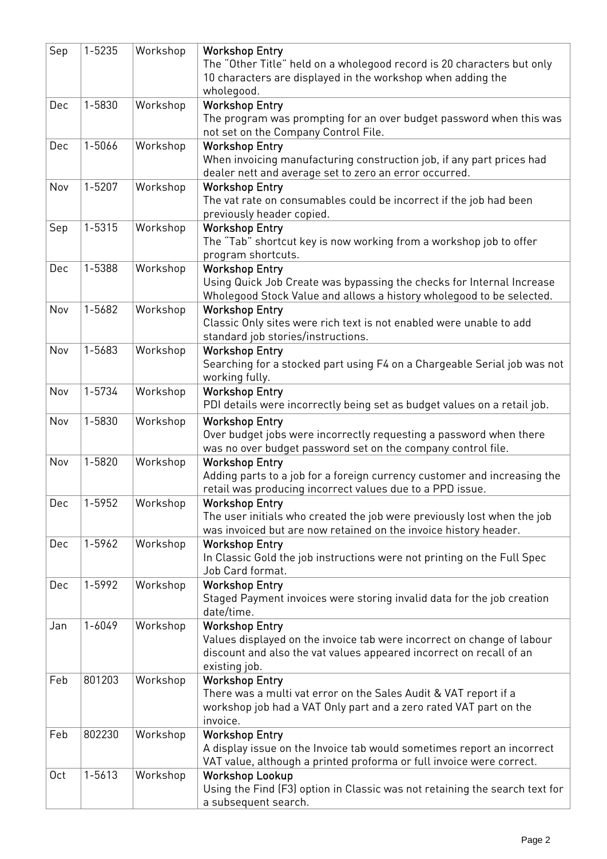| Sep             | $1 - 5235$ | Workshop | <b>Workshop Entry</b>                                                                                                                 |
|-----------------|------------|----------|---------------------------------------------------------------------------------------------------------------------------------------|
|                 |            |          | The "Other Title" held on a wholegood record is 20 characters but only<br>10 characters are displayed in the workshop when adding the |
|                 |            |          | wholegood.                                                                                                                            |
| Dec             | 1-5830     | Workshop | <b>Workshop Entry</b>                                                                                                                 |
|                 |            |          | The program was prompting for an over budget password when this was                                                                   |
|                 |            |          | not set on the Company Control File.                                                                                                  |
| Dec             | 1-5066     | Workshop | <b>Workshop Entry</b>                                                                                                                 |
|                 |            |          | When invoicing manufacturing construction job, if any part prices had                                                                 |
|                 |            |          | dealer nett and average set to zero an error occurred.                                                                                |
| Nov             | $1 - 5207$ | Workshop | <b>Workshop Entry</b>                                                                                                                 |
|                 |            |          | The vat rate on consumables could be incorrect if the job had been                                                                    |
|                 |            |          | previously header copied.                                                                                                             |
| Sep             | 1-5315     | Workshop | <b>Workshop Entry</b>                                                                                                                 |
|                 |            |          | The "Tab" shortcut key is now working from a workshop job to offer                                                                    |
|                 |            |          | program shortcuts.                                                                                                                    |
| Dec             | 1-5388     | Workshop | <b>Workshop Entry</b>                                                                                                                 |
|                 |            |          | Using Quick Job Create was bypassing the checks for Internal Increase                                                                 |
|                 |            |          | Wholegood Stock Value and allows a history wholegood to be selected.                                                                  |
| Nov             | 1-5682     | Workshop | <b>Workshop Entry</b>                                                                                                                 |
|                 |            |          |                                                                                                                                       |
|                 |            |          | Classic Only sites were rich text is not enabled were unable to add                                                                   |
| Nov             | 1-5683     |          | standard job stories/instructions.                                                                                                    |
|                 |            | Workshop | <b>Workshop Entry</b>                                                                                                                 |
|                 |            |          | Searching for a stocked part using F4 on a Chargeable Serial job was not                                                              |
|                 | 1-5734     |          | working fully.                                                                                                                        |
| Nov             |            | Workshop | <b>Workshop Entry</b>                                                                                                                 |
|                 |            |          | PDI details were incorrectly being set as budget values on a retail job.                                                              |
| Nov             | 1-5830     | Workshop | <b>Workshop Entry</b>                                                                                                                 |
|                 |            |          | Over budget jobs were incorrectly requesting a password when there                                                                    |
|                 |            |          | was no over budget password set on the company control file.                                                                          |
| Nov             | 1-5820     | Workshop | <b>Workshop Entry</b>                                                                                                                 |
|                 |            |          | Adding parts to a job for a foreign currency customer and increasing the                                                              |
|                 |            |          | retail was producing incorrect values due to a PPD issue.                                                                             |
| Dec             | 1-5952     | Workshop | <b>Workshop Entry</b>                                                                                                                 |
|                 |            |          | The user initials who created the job were previously lost when the job                                                               |
|                 |            |          | was invoiced but are now retained on the invoice history header.                                                                      |
| Dec             | 1-5962     | Workshop | <b>Workshop Entry</b>                                                                                                                 |
|                 |            |          | In Classic Gold the job instructions were not printing on the Full Spec                                                               |
|                 |            |          | Job Card format.                                                                                                                      |
| Dec             | 1-5992     | Workshop | <b>Workshop Entry</b>                                                                                                                 |
|                 |            |          | Staged Payment invoices were storing invalid data for the job creation                                                                |
|                 |            |          | date/time.                                                                                                                            |
| Jan             | $1 - 6049$ | Workshop | <b>Workshop Entry</b>                                                                                                                 |
|                 |            |          | Values displayed on the invoice tab were incorrect on change of labour                                                                |
|                 |            |          | discount and also the vat values appeared incorrect on recall of an                                                                   |
|                 |            |          | existing job.                                                                                                                         |
| Feb             | 801203     | Workshop | <b>Workshop Entry</b>                                                                                                                 |
|                 |            |          | There was a multi vat error on the Sales Audit & VAT report if a                                                                      |
|                 |            |          | workshop job had a VAT Only part and a zero rated VAT part on the                                                                     |
|                 |            |          | invoice.                                                                                                                              |
| Feb             | 802230     | Workshop | <b>Workshop Entry</b>                                                                                                                 |
|                 |            |          | A display issue on the Invoice tab would sometimes report an incorrect                                                                |
| 0 <sub>ct</sub> | 1-5613     |          | VAT value, although a printed proforma or full invoice were correct.                                                                  |
|                 |            | Workshop | <b>Workshop Lookup</b><br>Using the Find (F3) option in Classic was not retaining the search text for                                 |
|                 |            |          | a subsequent search.                                                                                                                  |
|                 |            |          |                                                                                                                                       |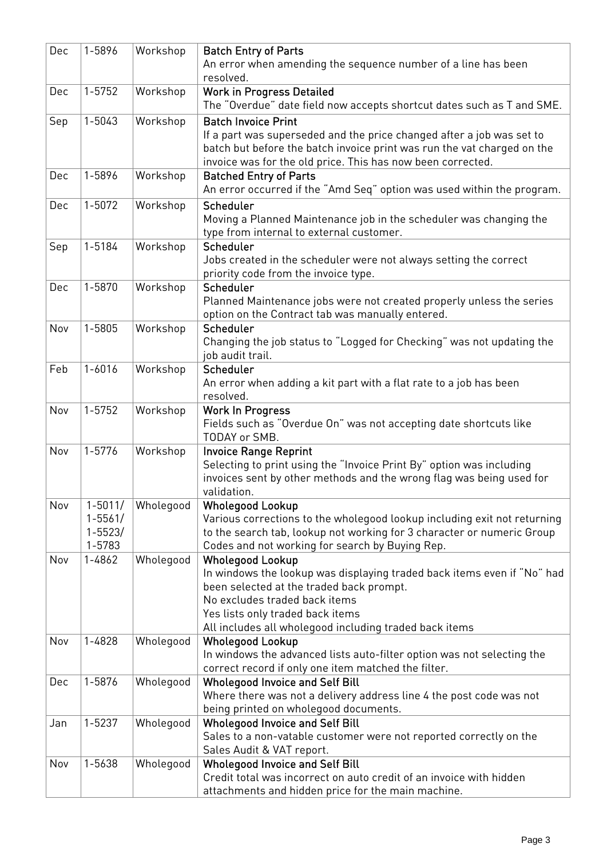| Dec | 1-5896      | Workshop  | <b>Batch Entry of Parts</b>                                                         |
|-----|-------------|-----------|-------------------------------------------------------------------------------------|
|     |             |           | An error when amending the sequence number of a line has been                       |
|     |             |           | resolved.                                                                           |
| Dec | 1-5752      | Workshop  | <b>Work in Progress Detailed</b>                                                    |
|     |             |           | The "Overdue" date field now accepts shortcut dates such as T and SME.              |
| Sep | 1-5043      | Workshop  | <b>Batch Invoice Print</b>                                                          |
|     |             |           | If a part was superseded and the price changed after a job was set to               |
|     |             |           | batch but before the batch invoice print was run the vat charged on the             |
|     |             |           | invoice was for the old price. This has now been corrected.                         |
| Dec | 1-5896      | Workshop  | <b>Batched Entry of Parts</b>                                                       |
|     |             |           | An error occurred if the "Amd Seq" option was used within the program.              |
| Dec | 1-5072      | Workshop  | Scheduler                                                                           |
|     |             |           | Moving a Planned Maintenance job in the scheduler was changing the                  |
|     |             |           | type from internal to external customer.                                            |
| Sep | 1-5184      | Workshop  | Scheduler                                                                           |
|     |             |           | Jobs created in the scheduler were not always setting the correct                   |
|     |             |           | priority code from the invoice type.                                                |
| Dec | 1-5870      | Workshop  | Scheduler                                                                           |
|     |             |           | Planned Maintenance jobs were not created properly unless the series                |
|     |             |           | option on the Contract tab was manually entered.                                    |
| Nov | 1-5805      | Workshop  | Scheduler                                                                           |
|     |             |           | Changing the job status to "Logged for Checking" was not updating the               |
|     |             |           | job audit trail.                                                                    |
| Feb | $1 - 6016$  | Workshop  | Scheduler                                                                           |
|     |             |           | An error when adding a kit part with a flat rate to a job has been                  |
|     |             |           | resolved.                                                                           |
| Nov | $1 - 5752$  | Workshop  | <b>Work In Progress</b>                                                             |
|     |             |           | Fields such as "Overdue On" was not accepting date shortcuts like                   |
|     |             |           | TODAY or SMB.                                                                       |
| Nov | 1-5776      | Workshop  | <b>Invoice Range Reprint</b>                                                        |
|     |             |           | Selecting to print using the "Invoice Print By" option was including                |
|     |             |           | invoices sent by other methods and the wrong flag was being used for<br>validation. |
| Nov | $1 - 5011/$ | Wholegood | <b>Wholegood Lookup</b>                                                             |
|     | $1 - 5561/$ |           | Various corrections to the wholegood lookup including exit not returning            |
|     | $1 - 5523/$ |           | to the search tab, lookup not working for 3 character or numeric Group              |
|     | 1-5783      |           | Codes and not working for search by Buying Rep.                                     |
| Nov | $1 - 4862$  | Wholegood | <b>Wholegood Lookup</b>                                                             |
|     |             |           | In windows the lookup was displaying traded back items even if "No" had             |
|     |             |           | been selected at the traded back prompt.                                            |
|     |             |           | No excludes traded back items                                                       |
|     |             |           | Yes lists only traded back items                                                    |
|     |             |           | All includes all wholegood including traded back items                              |
| Nov | 1-4828      | Wholegood | <b>Wholegood Lookup</b>                                                             |
|     |             |           | In windows the advanced lists auto-filter option was not selecting the              |
|     |             |           | correct record if only one item matched the filter.                                 |
| Dec | 1-5876      | Wholegood | <b>Wholegood Invoice and Self Bill</b>                                              |
|     |             |           | Where there was not a delivery address line 4 the post code was not                 |
|     |             |           | being printed on wholegood documents.                                               |
| Jan | 1-5237      | Wholegood | <b>Wholegood Invoice and Self Bill</b>                                              |
|     |             |           | Sales to a non-vatable customer were not reported correctly on the                  |
|     |             |           | Sales Audit & VAT report.                                                           |
| Nov | 1-5638      | Wholegood | <b>Wholegood Invoice and Self Bill</b>                                              |
|     |             |           | Credit total was incorrect on auto credit of an invoice with hidden                 |
|     |             |           | attachments and hidden price for the main machine.                                  |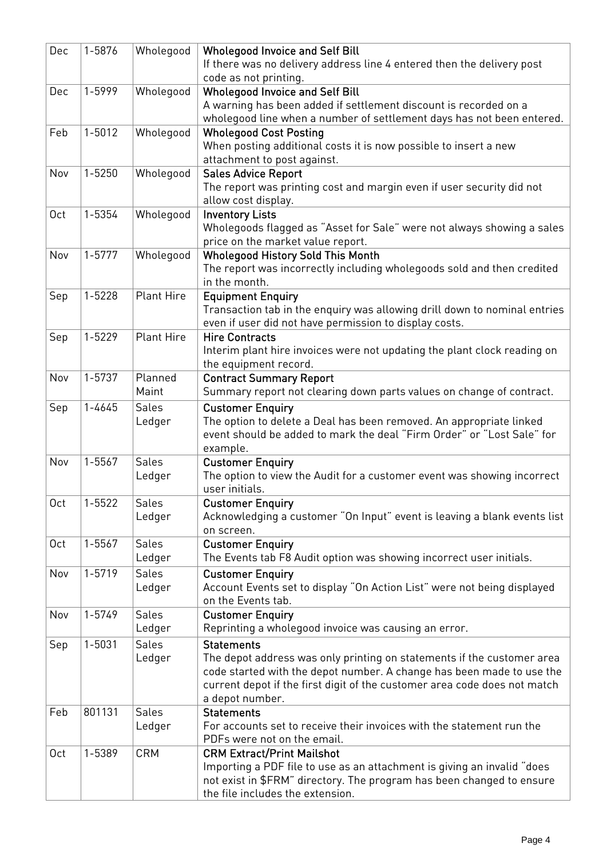| Dec             | 1-5876     | Wholegood         | <b>Wholegood Invoice and Self Bill</b>                                                          |
|-----------------|------------|-------------------|-------------------------------------------------------------------------------------------------|
|                 |            |                   | If there was no delivery address line 4 entered then the delivery post<br>code as not printing. |
| Dec             | 1-5999     | Wholegood         | <b>Wholegood Invoice and Self Bill</b>                                                          |
|                 |            |                   | A warning has been added if settlement discount is recorded on a                                |
|                 |            |                   | wholegood line when a number of settlement days has not been entered.                           |
| Feb             | $1 - 5012$ | Wholegood         | <b>Wholegood Cost Posting</b>                                                                   |
|                 |            |                   | When posting additional costs it is now possible to insert a new                                |
|                 |            |                   | attachment to post against.                                                                     |
| Nov             | $1 - 5250$ | Wholegood         | <b>Sales Advice Report</b>                                                                      |
|                 |            |                   | The report was printing cost and margin even if user security did not                           |
|                 |            |                   | allow cost display.                                                                             |
| 0 <sub>ct</sub> | 1-5354     | Wholegood         | <b>Inventory Lists</b>                                                                          |
|                 |            |                   | Wholegoods flagged as "Asset for Sale" were not always showing a sales                          |
|                 |            |                   | price on the market value report.                                                               |
| Nov             | $1 - 5777$ | Wholegood         | <b>Wholegood History Sold This Month</b>                                                        |
|                 |            |                   | The report was incorrectly including wholegoods sold and then credited                          |
|                 |            |                   | in the month.                                                                                   |
| Sep             | $1 - 5228$ | <b>Plant Hire</b> | <b>Equipment Enquiry</b>                                                                        |
|                 |            |                   | Transaction tab in the enquiry was allowing drill down to nominal entries                       |
|                 |            |                   | even if user did not have permission to display costs.                                          |
| Sep             | 1-5229     | <b>Plant Hire</b> | <b>Hire Contracts</b>                                                                           |
|                 |            |                   | Interim plant hire invoices were not updating the plant clock reading on                        |
|                 |            |                   | the equipment record.                                                                           |
| Nov             | 1-5737     | Planned           | <b>Contract Summary Report</b>                                                                  |
|                 |            | Maint             |                                                                                                 |
|                 |            |                   | Summary report not clearing down parts values on change of contract.                            |
| Sep             | 1-4645     | <b>Sales</b>      | <b>Customer Enquiry</b>                                                                         |
|                 |            | Ledger            | The option to delete a Deal has been removed. An appropriate linked                             |
|                 |            |                   | event should be added to mark the deal "Firm Order" or "Lost Sale" for                          |
|                 |            |                   | example.                                                                                        |
| Nov             | 1-5567     | <b>Sales</b>      | <b>Customer Enquiry</b>                                                                         |
|                 |            | Ledger            | The option to view the Audit for a customer event was showing incorrect                         |
|                 |            |                   | user initials.                                                                                  |
| 0 <sub>ct</sub> | 1-5522     | <b>Sales</b>      | <b>Customer Enquiry</b>                                                                         |
|                 |            | Ledger            | Acknowledging a customer "On Input" event is leaving a blank events list                        |
|                 |            |                   | on screen.                                                                                      |
| 0 <sub>ct</sub> | 1-5567     | <b>Sales</b>      | <b>Customer Enquiry</b>                                                                         |
|                 |            | Ledger            | The Events tab F8 Audit option was showing incorrect user initials.                             |
| Nov             | 1-5719     | Sales             | <b>Customer Enquiry</b>                                                                         |
|                 |            | Ledger            | Account Events set to display "On Action List" were not being displayed                         |
|                 |            |                   | on the Events tab.                                                                              |
| Nov             | 1-5749     | Sales             | <b>Customer Enquiry</b>                                                                         |
|                 |            | Ledger            | Reprinting a wholegood invoice was causing an error.                                            |
| Sep             | 1-5031     | <b>Sales</b>      | <b>Statements</b>                                                                               |
|                 |            | Ledger            | The depot address was only printing on statements if the customer area                          |
|                 |            |                   | code started with the depot number. A change has been made to use the                           |
|                 |            |                   | current depot if the first digit of the customer area code does not match                       |
|                 |            |                   | a depot number.                                                                                 |
| Feb             | 801131     | Sales             | <b>Statements</b>                                                                               |
|                 |            | Ledger            | For accounts set to receive their invoices with the statement run the                           |
|                 |            |                   | PDFs were not on the email.                                                                     |
| 0 <sub>ct</sub> | 1-5389     | <b>CRM</b>        | <b>CRM Extract/Print Mailshot</b>                                                               |
|                 |            |                   | Importing a PDF file to use as an attachment is giving an invalid "does                         |
|                 |            |                   | not exist in \$FRM" directory. The program has been changed to ensure                           |
|                 |            |                   | the file includes the extension.                                                                |
|                 |            |                   |                                                                                                 |